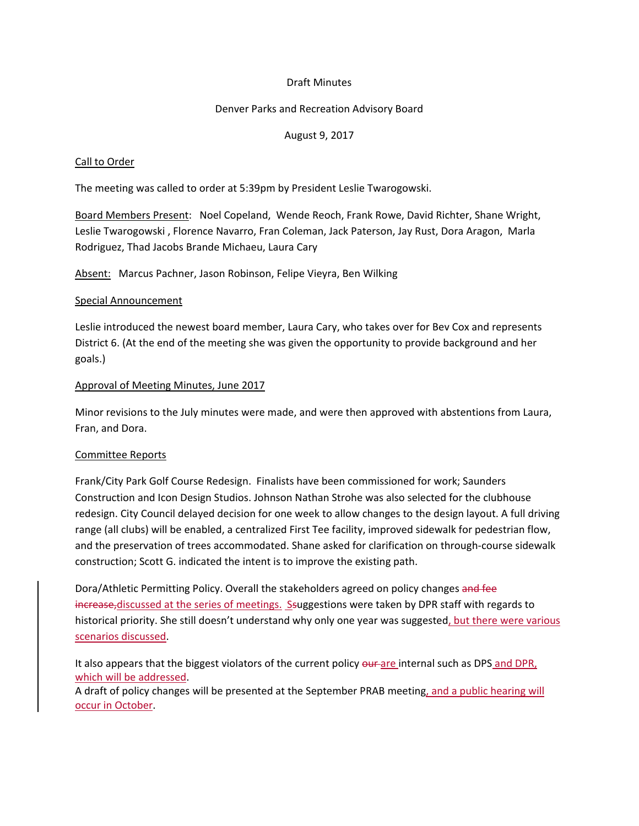## Draft Minutes

### Denver Parks and Recreation Advisory Board

## August 9, 2017

### Call to Order

The meeting was called to order at 5:39pm by President Leslie Twarogowski.

Board Members Present: Noel Copeland, Wende Reoch, Frank Rowe, David Richter, Shane Wright, Leslie Twarogowski , Florence Navarro, Fran Coleman, Jack Paterson, Jay Rust, Dora Aragon, Marla Rodriguez, Thad Jacobs Brande Michaeu, Laura Cary

Absent: Marcus Pachner, Jason Robinson, Felipe Vieyra, Ben Wilking

#### Special Announcement

Leslie introduced the newest board member, Laura Cary, who takes over for Bev Cox and represents District 6. (At the end of the meeting she was given the opportunity to provide background and her goals.)

### Approval of Meeting Minutes, June 2017

Minor revisions to the July minutes were made, and were then approved with abstentions from Laura, Fran, and Dora.

#### Committee Reports

Frank/City Park Golf Course Redesign. Finalists have been commissioned for work; Saunders Construction and Icon Design Studios. Johnson Nathan Strohe was also selected for the clubhouse redesign. City Council delayed decision for one week to allow changes to the design layout. A full driving range (all clubs) will be enabled, a centralized First Tee facility, improved sidewalk for pedestrian flow, and the preservation of trees accommodated. Shane asked for clarification on through-course sidewalk construction; Scott G. indicated the intent is to improve the existing path.

Dora/Athletic Permitting Policy. Overall the stakeholders agreed on policy changes and fee increase, discussed at the series of meetings. Ssuggestions were taken by DPR staff with regards to historical priority. She still doesn't understand why only one year was suggested, but there were various scenarios discussed.

It also appears that the biggest violators of the current policy our are internal such as DPS and DPR, which will be addressed.

A draft of policy changes will be presented at the September PRAB meeting, and a public hearing will occur in October.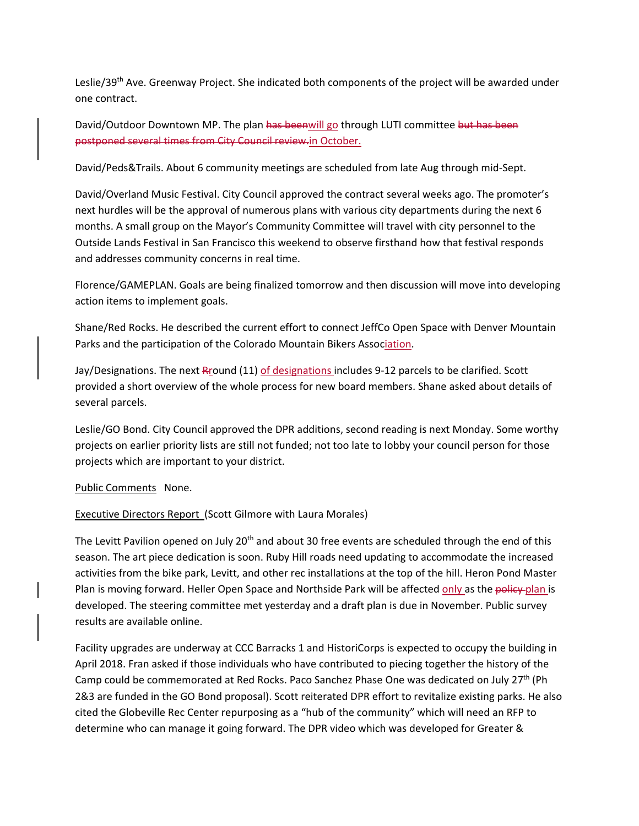Leslie/39th Ave. Greenway Project. She indicated both components of the project will be awarded under one contract.

David/Outdoor Downtown MP. The plan has beenwill go through LUTI committee but has been postponed several times from City Council review.in October.

David/Peds&Trails. About 6 community meetings are scheduled from late Aug through mid-Sept.

David/Overland Music Festival. City Council approved the contract several weeks ago. The promoter's next hurdles will be the approval of numerous plans with various city departments during the next 6 months. A small group on the Mayor's Community Committee will travel with city personnel to the Outside Lands Festival in San Francisco this weekend to observe firsthand how that festival responds and addresses community concerns in real time.

Florence/GAMEPLAN. Goals are being finalized tomorrow and then discussion will move into developing action items to implement goals.

Shane/Red Rocks. He described the current effort to connect JeffCo Open Space with Denver Mountain Parks and the participation of the Colorado Mountain Bikers Association.

Jay/Designations. The next Rround (11) of designations includes 9-12 parcels to be clarified. Scott provided a short overview of the whole process for new board members. Shane asked about details of several parcels.

Leslie/GO Bond. City Council approved the DPR additions, second reading is next Monday. Some worthy projects on earlier priority lists are still not funded; not too late to lobby your council person for those projects which are important to your district.

#### Public Comments None.

# Executive Directors Report (Scott Gilmore with Laura Morales)

The Levitt Pavilion opened on July 20<sup>th</sup> and about 30 free events are scheduled through the end of this season. The art piece dedication is soon. Ruby Hill roads need updating to accommodate the increased activities from the bike park, Levitt, and other rec installations at the top of the hill. Heron Pond Master Plan is moving forward. Heller Open Space and Northside Park will be affected only as the policy plan is developed. The steering committee met yesterday and a draft plan is due in November. Public survey results are available online.

Facility upgrades are underway at CCC Barracks 1 and HistoriCorps is expected to occupy the building in April 2018. Fran asked if those individuals who have contributed to piecing together the history of the Camp could be commemorated at Red Rocks. Paco Sanchez Phase One was dedicated on July 27<sup>th</sup> (Ph 2&3 are funded in the GO Bond proposal). Scott reiterated DPR effort to revitalize existing parks. He also cited the Globeville Rec Center repurposing as a "hub of the community" which will need an RFP to determine who can manage it going forward. The DPR video which was developed for Greater &